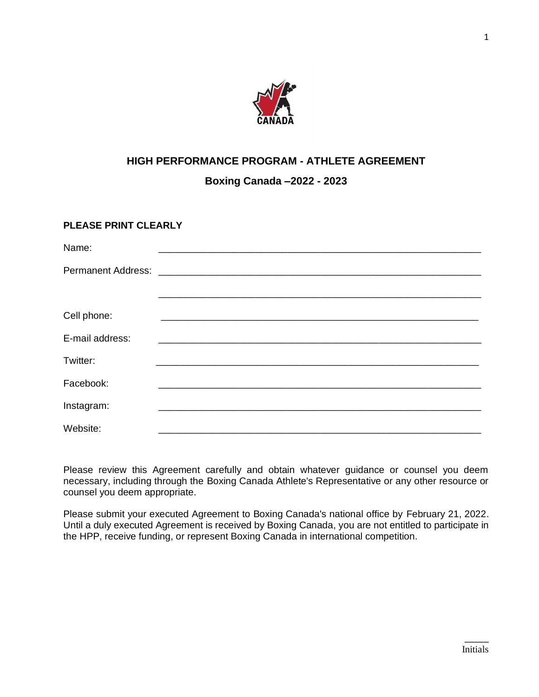

# **HIGH PERFORMANCE PROGRAM - ATHLETE AGREEMENT**

**Boxing Canada –2022 - 2023**

# **PLEASE PRINT CLEARLY**

| Name:                     |  |  |  |
|---------------------------|--|--|--|
| <b>Permanent Address:</b> |  |  |  |
|                           |  |  |  |
| Cell phone:               |  |  |  |
| E-mail address:           |  |  |  |
| Twitter:                  |  |  |  |
| Facebook:                 |  |  |  |
| Instagram:                |  |  |  |
| Website:                  |  |  |  |

Please review this Agreement carefully and obtain whatever guidance or counsel you deem necessary, including through the Boxing Canada Athlete's Representative or any other resource or counsel you deem appropriate.

Please submit your executed Agreement to Boxing Canada's national office by February 21, 2022. Until a duly executed Agreement is received by Boxing Canada, you are not entitled to participate in the HPP, receive funding, or represent Boxing Canada in international competition.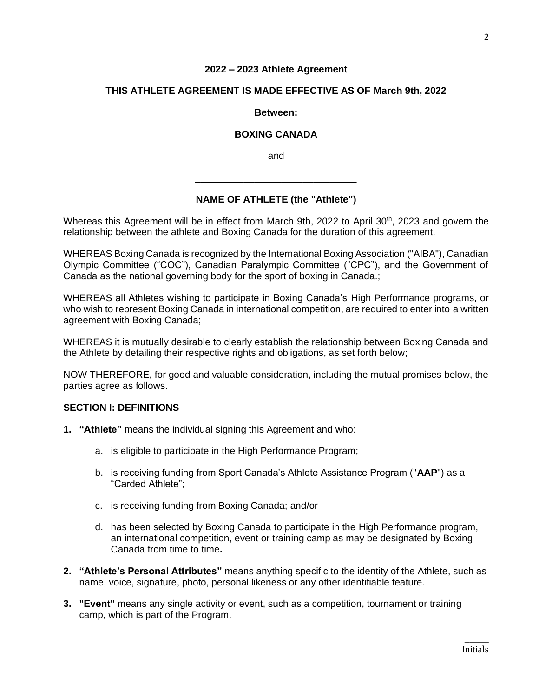#### **2022 – 2023 Athlete Agreement**

#### **THIS ATHLETE AGREEMENT IS MADE EFFECTIVE AS OF March 9th, 2022**

#### **Between:**

#### **BOXING CANADA**

and

\_\_\_\_\_\_\_\_\_\_\_\_\_\_\_\_\_\_\_\_\_\_\_\_\_\_\_\_\_\_

## **NAME OF ATHLETE (the "Athlete")**

Whereas this Agreement will be in effect from March 9th, 2022 to April 30<sup>th</sup>, 2023 and govern the relationship between the athlete and Boxing Canada for the duration of this agreement.

WHEREAS Boxing Canada is recognized by the International Boxing Association ("AIBA"), Canadian Olympic Committee ("COC"), Canadian Paralympic Committee ("CPC"), and the Government of Canada as the national governing body for the sport of boxing in Canada.;

WHEREAS all Athletes wishing to participate in Boxing Canada's High Performance programs, or who wish to represent Boxing Canada in international competition, are required to enter into a written agreement with Boxing Canada;

WHEREAS it is mutually desirable to clearly establish the relationship between Boxing Canada and the Athlete by detailing their respective rights and obligations, as set forth below;

NOW THEREFORE, for good and valuable consideration, including the mutual promises below, the parties agree as follows.

### **SECTION I: DEFINITIONS**

- **1. "Athlete"** means the individual signing this Agreement and who:
	- a. is eligible to participate in the High Performance Program;
	- b. is receiving funding from Sport Canada's Athlete Assistance Program ("**AAP**") as a "Carded Athlete";
	- c. is receiving funding from Boxing Canada; and/or
	- d. has been selected by Boxing Canada to participate in the High Performance program, an international competition, event or training camp as may be designated by Boxing Canada from time to time**.**
- **2. "Athlete's Personal Attributes"** means anything specific to the identity of the Athlete, such as name, voice, signature, photo, personal likeness or any other identifiable feature.
- **3. "Event"** means any single activity or event, such as a competition, tournament or training camp, which is part of the Program.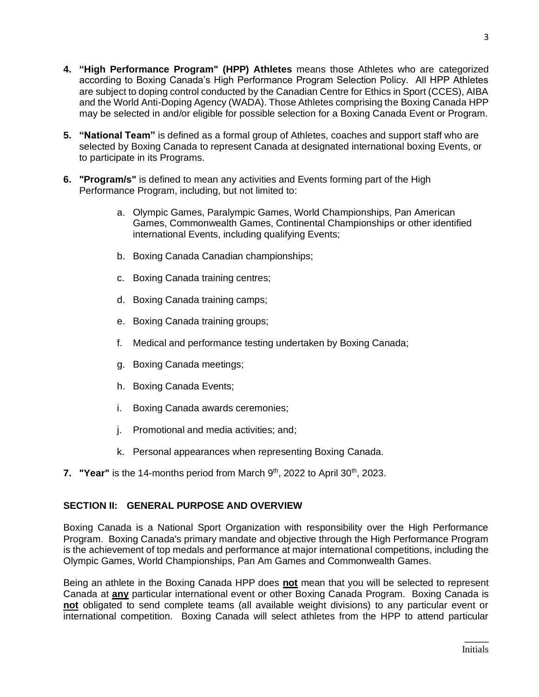- **4. "High Performance Program" (HPP) Athletes** means those Athletes who are categorized according to Boxing Canada's High Performance Program Selection Policy. All HPP Athletes are subject to doping control conducted by the Canadian Centre for Ethics in Sport (CCES), AIBA and the World Anti-Doping Agency (WADA). Those Athletes comprising the Boxing Canada HPP may be selected in and/or eligible for possible selection for a Boxing Canada Event or Program.
- **5. "National Team"** is defined as a formal group of Athletes, coaches and support staff who are selected by Boxing Canada to represent Canada at designated international boxing Events, or to participate in its Programs.
- **6. "Program/s"** is defined to mean any activities and Events forming part of the High Performance Program, including, but not limited to:
	- a. Olympic Games, Paralympic Games, World Championships, Pan American Games, Commonwealth Games, Continental Championships or other identified international Events, including qualifying Events;
	- b. Boxing Canada Canadian championships;
	- c. Boxing Canada training centres;
	- d. Boxing Canada training camps;
	- e. Boxing Canada training groups;
	- f. Medical and performance testing undertaken by Boxing Canada;
	- g. Boxing Canada meetings;
	- h. Boxing Canada Events;
	- i. Boxing Canada awards ceremonies;
	- j. Promotional and media activities; and;
	- k. Personal appearances when representing Boxing Canada.
- **7.** "Year" is the 14-months period from March  $9<sup>th</sup>$ , 2022 to April 30<sup>th</sup>, 2023.

# **SECTION II: GENERAL PURPOSE AND OVERVIEW**

Boxing Canada is a National Sport Organization with responsibility over the High Performance Program. Boxing Canada's primary mandate and objective through the High Performance Program is the achievement of top medals and performance at major international competitions, including the Olympic Games, World Championships, Pan Am Games and Commonwealth Games.

Being an athlete in the Boxing Canada HPP does **not** mean that you will be selected to represent Canada at **any** particular international event or other Boxing Canada Program. Boxing Canada is **not** obligated to send complete teams (all available weight divisions) to any particular event or international competition. Boxing Canada will select athletes from the HPP to attend particular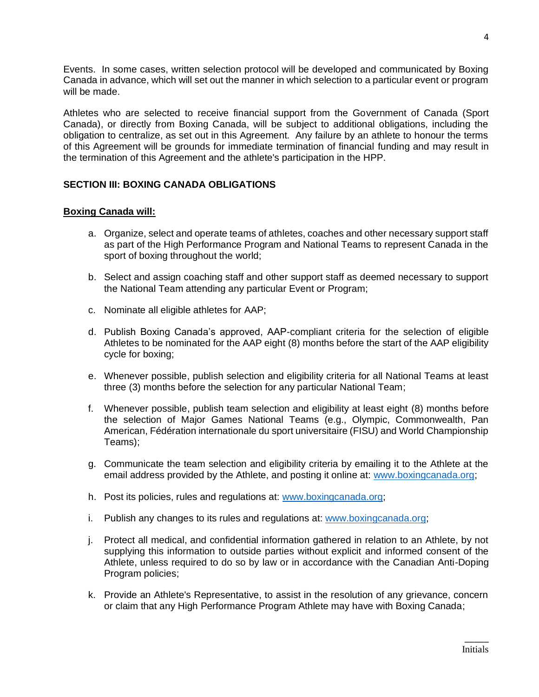Events. In some cases, written selection protocol will be developed and communicated by Boxing Canada in advance, which will set out the manner in which selection to a particular event or program will be made.

Athletes who are selected to receive financial support from the Government of Canada (Sport Canada), or directly from Boxing Canada, will be subject to additional obligations, including the obligation to centralize, as set out in this Agreement. Any failure by an athlete to honour the terms of this Agreement will be grounds for immediate termination of financial funding and may result in the termination of this Agreement and the athlete's participation in the HPP.

# **SECTION III: BOXING CANADA OBLIGATIONS**

### **Boxing Canada will:**

- a. Organize, select and operate teams of athletes, coaches and other necessary support staff as part of the High Performance Program and National Teams to represent Canada in the sport of boxing throughout the world;
- b. Select and assign coaching staff and other support staff as deemed necessary to support the National Team attending any particular Event or Program;
- c. Nominate all eligible athletes for AAP;
- d. Publish Boxing Canada's approved, AAP-compliant criteria for the selection of eligible Athletes to be nominated for the AAP eight (8) months before the start of the AAP eligibility cycle for boxing;
- e. Whenever possible, publish selection and eligibility criteria for all National Teams at least three (3) months before the selection for any particular National Team;
- f. Whenever possible, publish team selection and eligibility at least eight (8) months before the selection of Major Games National Teams (e.g., Olympic, Commonwealth, Pan American, Fédération internationale du sport universitaire (FISU) and World Championship Teams);
- g. Communicate the team selection and eligibility criteria by emailing it to the Athlete at the email address provided by the Athlete, and posting it online at: [www.boxingcanada.org;](http://www.boxingcanada.org/)
- h. Post its policies, rules and regulations at: [www.boxingcanada.org;](http://www.boxingcanada.org/)
- i. Publish any changes to its rules and regulations at: [www.boxingcanada.org;](http://www.boxingcanada.org/)
- j. Protect all medical, and confidential information gathered in relation to an Athlete, by not supplying this information to outside parties without explicit and informed consent of the Athlete, unless required to do so by law or in accordance with the Canadian Anti-Doping Program policies;
- k. Provide an Athlete's Representative, to assist in the resolution of any grievance, concern or claim that any High Performance Program Athlete may have with Boxing Canada;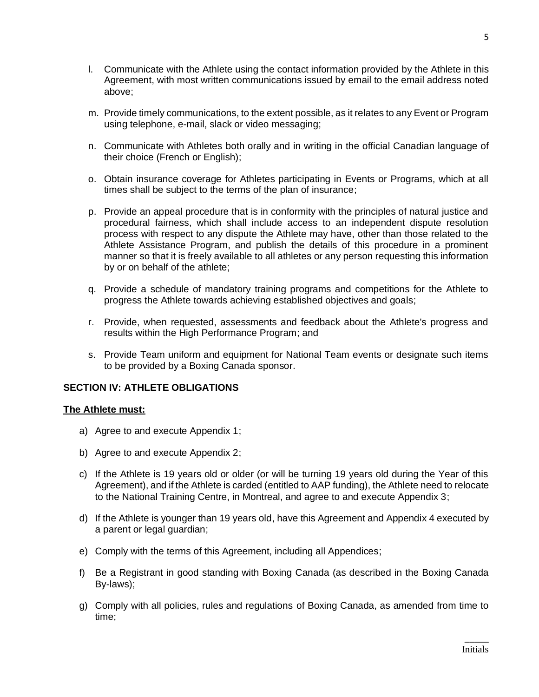- l. Communicate with the Athlete using the contact information provided by the Athlete in this Agreement, with most written communications issued by email to the email address noted above;
- m. Provide timely communications, to the extent possible, as it relates to any Event or Program using telephone, e-mail, slack or video messaging;
- n. Communicate with Athletes both orally and in writing in the official Canadian language of their choice (French or English);
- o. Obtain insurance coverage for Athletes participating in Events or Programs, which at all times shall be subject to the terms of the plan of insurance;
- p. Provide an appeal procedure that is in conformity with the principles of natural justice and procedural fairness, which shall include access to an independent dispute resolution process with respect to any dispute the Athlete may have, other than those related to the Athlete Assistance Program, and publish the details of this procedure in a prominent manner so that it is freely available to all athletes or any person requesting this information by or on behalf of the athlete;
- q. Provide a schedule of mandatory training programs and competitions for the Athlete to progress the Athlete towards achieving established objectives and goals;
- r. Provide, when requested, assessments and feedback about the Athlete's progress and results within the High Performance Program; and
- s. Provide Team uniform and equipment for National Team events or designate such items to be provided by a Boxing Canada sponsor.

## **SECTION IV: ATHLETE OBLIGATIONS**

### **The Athlete must:**

- a) Agree to and execute Appendix 1;
- b) Agree to and execute Appendix 2;
- c) If the Athlete is 19 years old or older (or will be turning 19 years old during the Year of this Agreement), and if the Athlete is carded (entitled to AAP funding), the Athlete need to relocate to the National Training Centre, in Montreal, and agree to and execute Appendix 3;
- d) If the Athlete is younger than 19 years old, have this Agreement and Appendix 4 executed by a parent or legal guardian;
- e) Comply with the terms of this Agreement, including all Appendices;
- f) Be a Registrant in good standing with Boxing Canada (as described in the Boxing Canada By-laws);
- g) Comply with all policies, rules and regulations of Boxing Canada, as amended from time to time;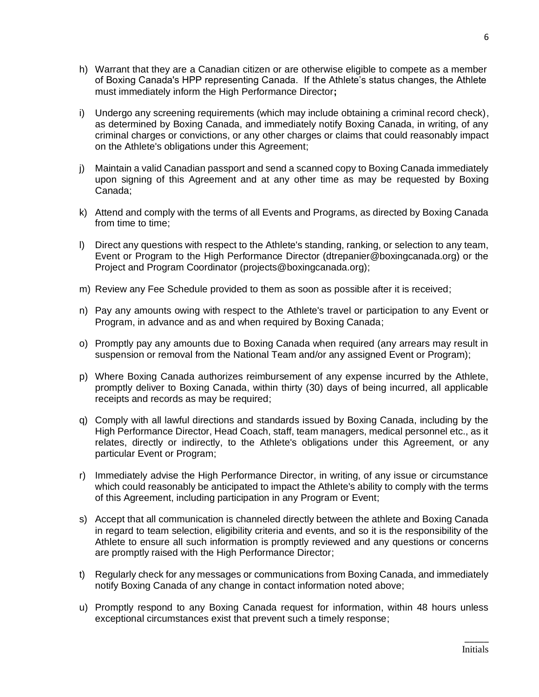- h) Warrant that they are a Canadian citizen or are otherwise eligible to compete as a member of Boxing Canada's HPP representing Canada. If the Athlete's status changes, the Athlete must immediately inform the High Performance Director**;**
- i) Undergo any screening requirements (which may include obtaining a criminal record check), as determined by Boxing Canada, and immediately notify Boxing Canada, in writing, of any criminal charges or convictions, or any other charges or claims that could reasonably impact on the Athlete's obligations under this Agreement;
- j) Maintain a valid Canadian passport and send a scanned copy to Boxing Canada immediately upon signing of this Agreement and at any other time as may be requested by Boxing Canada;
- k) Attend and comply with the terms of all Events and Programs, as directed by Boxing Canada from time to time;
- l) Direct any questions with respect to the Athlete's standing, ranking, or selection to any team, Event or Program to the High Performance Director (dtrepanier@boxingcanada.org) or the Project and Program Coordinator (projects@boxingcanada.org);
- m) Review any Fee Schedule provided to them as soon as possible after it is received;
- n) Pay any amounts owing with respect to the Athlete's travel or participation to any Event or Program, in advance and as and when required by Boxing Canada;
- o) Promptly pay any amounts due to Boxing Canada when required (any arrears may result in suspension or removal from the National Team and/or any assigned Event or Program);
- p) Where Boxing Canada authorizes reimbursement of any expense incurred by the Athlete, promptly deliver to Boxing Canada, within thirty (30) days of being incurred, all applicable receipts and records as may be required;
- q) Comply with all lawful directions and standards issued by Boxing Canada, including by the High Performance Director, Head Coach, staff, team managers, medical personnel etc., as it relates, directly or indirectly, to the Athlete's obligations under this Agreement, or any particular Event or Program;
- r) Immediately advise the High Performance Director, in writing, of any issue or circumstance which could reasonably be anticipated to impact the Athlete's ability to comply with the terms of this Agreement, including participation in any Program or Event;
- s) Accept that all communication is channeled directly between the athlete and Boxing Canada in regard to team selection, eligibility criteria and events, and so it is the responsibility of the Athlete to ensure all such information is promptly reviewed and any questions or concerns are promptly raised with the High Performance Director;
- t) Regularly check for any messages or communications from Boxing Canada, and immediately notify Boxing Canada of any change in contact information noted above;
- u) Promptly respond to any Boxing Canada request for information, within 48 hours unless exceptional circumstances exist that prevent such a timely response;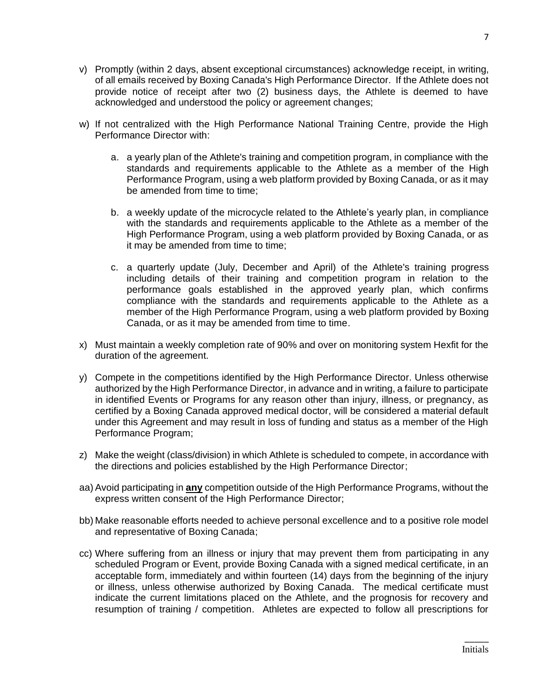- v) Promptly (within 2 days, absent exceptional circumstances) acknowledge receipt, in writing, of all emails received by Boxing Canada's High Performance Director. If the Athlete does not provide notice of receipt after two (2) business days, the Athlete is deemed to have acknowledged and understood the policy or agreement changes;
- w) If not centralized with the High Performance National Training Centre, provide the High Performance Director with:
	- a. a yearly plan of the Athlete's training and competition program, in compliance with the standards and requirements applicable to the Athlete as a member of the High Performance Program, using a web platform provided by Boxing Canada, or as it may be amended from time to time:
	- b. a weekly update of the microcycle related to the Athlete's yearly plan, in compliance with the standards and requirements applicable to the Athlete as a member of the High Performance Program, using a web platform provided by Boxing Canada, or as it may be amended from time to time;
	- c. a quarterly update (July, December and April) of the Athlete's training progress including details of their training and competition program in relation to the performance goals established in the approved yearly plan, which confirms compliance with the standards and requirements applicable to the Athlete as a member of the High Performance Program, using a web platform provided by Boxing Canada, or as it may be amended from time to time.
- x) Must maintain a weekly completion rate of 90% and over on monitoring system Hexfit for the duration of the agreement.
- y) Compete in the competitions identified by the High Performance Director. Unless otherwise authorized by the High Performance Director, in advance and in writing, a failure to participate in identified Events or Programs for any reason other than injury, illness, or pregnancy, as certified by a Boxing Canada approved medical doctor, will be considered a material default under this Agreement and may result in loss of funding and status as a member of the High Performance Program;
- z) Make the weight (class/division) in which Athlete is scheduled to compete, in accordance with the directions and policies established by the High Performance Director;
- aa) Avoid participating in **any** competition outside of the High Performance Programs, without the express written consent of the High Performance Director;
- bb) Make reasonable efforts needed to achieve personal excellence and to a positive role model and representative of Boxing Canada;
- cc) Where suffering from an illness or injury that may prevent them from participating in any scheduled Program or Event, provide Boxing Canada with a signed medical certificate, in an acceptable form, immediately and within fourteen (14) days from the beginning of the injury or illness, unless otherwise authorized by Boxing Canada. The medical certificate must indicate the current limitations placed on the Athlete, and the prognosis for recovery and resumption of training / competition. Athletes are expected to follow all prescriptions for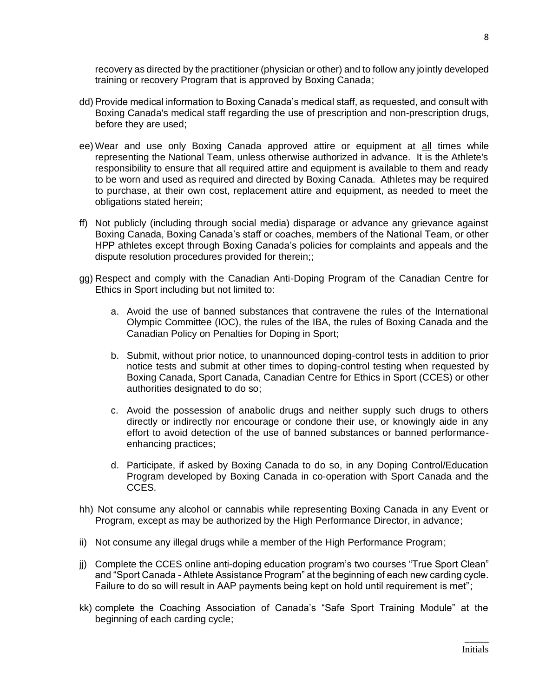recovery as directed by the practitioner (physician or other) and to follow any jointly developed training or recovery Program that is approved by Boxing Canada;

- dd) Provide medical information to Boxing Canada's medical staff, as requested, and consult with Boxing Canada's medical staff regarding the use of prescription and non-prescription drugs, before they are used;
- ee) Wear and use only Boxing Canada approved attire or equipment at all times while representing the National Team, unless otherwise authorized in advance. It is the Athlete's responsibility to ensure that all required attire and equipment is available to them and ready to be worn and used as required and directed by Boxing Canada. Athletes may be required to purchase, at their own cost, replacement attire and equipment, as needed to meet the obligations stated herein;
- ff) Not publicly (including through social media) disparage or advance any grievance against Boxing Canada, Boxing Canada's staff or coaches, members of the National Team, or other HPP athletes except through Boxing Canada's policies for complaints and appeals and the dispute resolution procedures provided for therein;;
- gg) Respect and comply with the Canadian Anti-Doping Program of the Canadian Centre for Ethics in Sport including but not limited to:
	- a. Avoid the use of banned substances that contravene the rules of the International Olympic Committee (IOC), the rules of the IBA, the rules of Boxing Canada and the Canadian Policy on Penalties for Doping in Sport;
	- b. Submit, without prior notice, to unannounced doping-control tests in addition to prior notice tests and submit at other times to doping-control testing when requested by Boxing Canada, Sport Canada, Canadian Centre for Ethics in Sport (CCES) or other authorities designated to do so;
	- c. Avoid the possession of anabolic drugs and neither supply such drugs to others directly or indirectly nor encourage or condone their use, or knowingly aide in any effort to avoid detection of the use of banned substances or banned performanceenhancing practices;
	- d. Participate, if asked by Boxing Canada to do so, in any Doping Control/Education Program developed by Boxing Canada in co-operation with Sport Canada and the CCES.
- hh) Not consume any alcohol or cannabis while representing Boxing Canada in any Event or Program, except as may be authorized by the High Performance Director, in advance;
- ii) Not consume any illegal drugs while a member of the High Performance Program;
- jj) Complete the CCES online anti-doping education program's two courses "True Sport Clean" and "Sport Canada - Athlete Assistance Program" at the beginning of each new carding cycle. Failure to do so will result in AAP payments being kept on hold until requirement is met";
- kk) complete the Coaching Association of Canada's "Safe Sport Training Module" at the beginning of each carding cycle;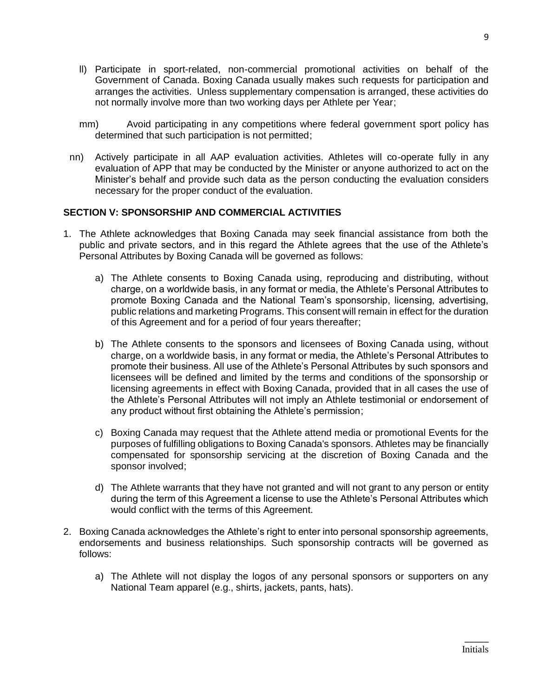- ll) Participate in sport-related, non-commercial promotional activities on behalf of the Government of Canada. Boxing Canada usually makes such requests for participation and arranges the activities. Unless supplementary compensation is arranged, these activities do not normally involve more than two working days per Athlete per Year;
- mm) Avoid participating in any competitions where federal government sport policy has determined that such participation is not permitted;
- nn) Actively participate in all AAP evaluation activities. Athletes will co-operate fully in any evaluation of APP that may be conducted by the Minister or anyone authorized to act on the Minister's behalf and provide such data as the person conducting the evaluation considers necessary for the proper conduct of the evaluation.

## **SECTION V: SPONSORSHIP AND COMMERCIAL ACTIVITIES**

- 1. The Athlete acknowledges that Boxing Canada may seek financial assistance from both the public and private sectors, and in this regard the Athlete agrees that the use of the Athlete's Personal Attributes by Boxing Canada will be governed as follows:
	- a) The Athlete consents to Boxing Canada using, reproducing and distributing, without charge, on a worldwide basis, in any format or media, the Athlete's Personal Attributes to promote Boxing Canada and the National Team's sponsorship, licensing, advertising, public relations and marketing Programs. This consent will remain in effect for the duration of this Agreement and for a period of four years thereafter;
	- b) The Athlete consents to the sponsors and licensees of Boxing Canada using, without charge, on a worldwide basis, in any format or media, the Athlete's Personal Attributes to promote their business. All use of the Athlete's Personal Attributes by such sponsors and licensees will be defined and limited by the terms and conditions of the sponsorship or licensing agreements in effect with Boxing Canada, provided that in all cases the use of the Athlete's Personal Attributes will not imply an Athlete testimonial or endorsement of any product without first obtaining the Athlete's permission;
	- c) Boxing Canada may request that the Athlete attend media or promotional Events for the purposes of fulfilling obligations to Boxing Canada's sponsors. Athletes may be financially compensated for sponsorship servicing at the discretion of Boxing Canada and the sponsor involved;
	- d) The Athlete warrants that they have not granted and will not grant to any person or entity during the term of this Agreement a license to use the Athlete's Personal Attributes which would conflict with the terms of this Agreement.
- 2. Boxing Canada acknowledges the Athlete's right to enter into personal sponsorship agreements, endorsements and business relationships. Such sponsorship contracts will be governed as follows:
	- a) The Athlete will not display the logos of any personal sponsors or supporters on any National Team apparel (e.g., shirts, jackets, pants, hats).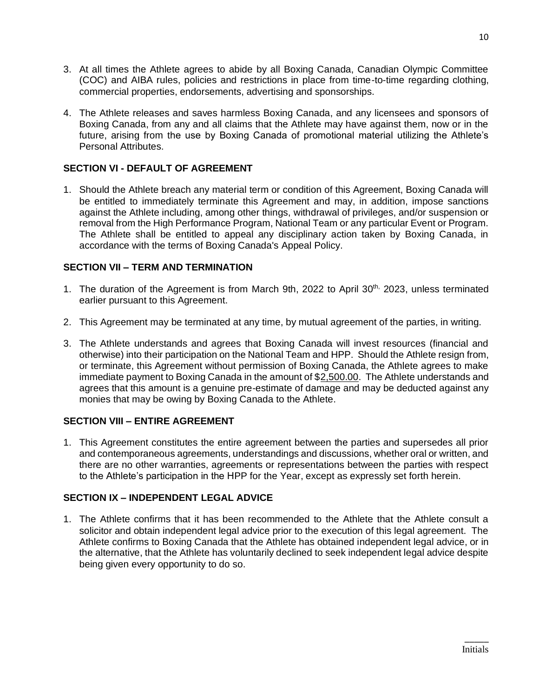- 3. At all times the Athlete agrees to abide by all Boxing Canada, Canadian Olympic Committee (COC) and AIBA rules, policies and restrictions in place from time-to-time regarding clothing, commercial properties, endorsements, advertising and sponsorships.
- 4. The Athlete releases and saves harmless Boxing Canada, and any licensees and sponsors of Boxing Canada, from any and all claims that the Athlete may have against them, now or in the future, arising from the use by Boxing Canada of promotional material utilizing the Athlete's Personal Attributes.

# **SECTION VI - DEFAULT OF AGREEMENT**

1. Should the Athlete breach any material term or condition of this Agreement, Boxing Canada will be entitled to immediately terminate this Agreement and may, in addition, impose sanctions against the Athlete including, among other things, withdrawal of privileges, and/or suspension or removal from the High Performance Program, National Team or any particular Event or Program. The Athlete shall be entitled to appeal any disciplinary action taken by Boxing Canada, in accordance with the terms of Boxing Canada's Appeal Policy.

# **SECTION VII – TERM AND TERMINATION**

- 1. The duration of the Agreement is from March 9th, 2022 to April 30<sup>th,</sup> 2023, unless terminated earlier pursuant to this Agreement.
- 2. This Agreement may be terminated at any time, by mutual agreement of the parties, in writing.
- 3. The Athlete understands and agrees that Boxing Canada will invest resources (financial and otherwise) into their participation on the National Team and HPP. Should the Athlete resign from, or terminate, this Agreement without permission of Boxing Canada, the Athlete agrees to make immediate payment to Boxing Canada in the amount of \$2,500.00. The Athlete understands and agrees that this amount is a genuine pre-estimate of damage and may be deducted against any monies that may be owing by Boxing Canada to the Athlete.

# **SECTION VIII – ENTIRE AGREEMENT**

1. This Agreement constitutes the entire agreement between the parties and supersedes all prior and contemporaneous agreements, understandings and discussions, whether oral or written, and there are no other warranties, agreements or representations between the parties with respect to the Athlete's participation in the HPP for the Year, except as expressly set forth herein.

# **SECTION IX – INDEPENDENT LEGAL ADVICE**

1. The Athlete confirms that it has been recommended to the Athlete that the Athlete consult a solicitor and obtain independent legal advice prior to the execution of this legal agreement. The Athlete confirms to Boxing Canada that the Athlete has obtained independent legal advice, or in the alternative, that the Athlete has voluntarily declined to seek independent legal advice despite being given every opportunity to do so.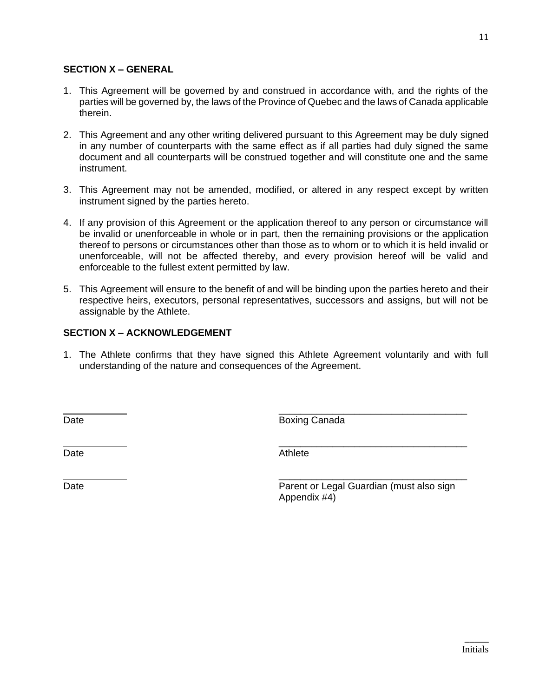# **SECTION X – GENERAL**

- 1. This Agreement will be governed by and construed in accordance with, and the rights of the parties will be governed by, the laws of the Province of Quebec and the laws of Canada applicable therein.
- 2. This Agreement and any other writing delivered pursuant to this Agreement may be duly signed in any number of counterparts with the same effect as if all parties had duly signed the same document and all counterparts will be construed together and will constitute one and the same instrument.
- 3. This Agreement may not be amended, modified, or altered in any respect except by written instrument signed by the parties hereto.
- 4. If any provision of this Agreement or the application thereof to any person or circumstance will be invalid or unenforceable in whole or in part, then the remaining provisions or the application thereof to persons or circumstances other than those as to whom or to which it is held invalid or unenforceable, will not be affected thereby, and every provision hereof will be valid and enforceable to the fullest extent permitted by law.
- 5. This Agreement will ensure to the benefit of and will be binding upon the parties hereto and their respective heirs, executors, personal representatives, successors and assigns, but will not be assignable by the Athlete.

## **SECTION X – ACKNOWLEDGEMENT**

1. The Athlete confirms that they have signed this Athlete Agreement voluntarily and with full understanding of the nature and consequences of the Agreement.

Date **Boxing Canada** 

Date **Date** Athlete **Contract Contract Contract Contract Contract Contract Contract Contract Contract Contract Contract Contract Contract Contract Contract Contract Contract Contract Contract Contract Contract Contract Con** 

Date **Parent or Legal Guardian (must also sign**) **Parent or Legal Guardian (must also sign**) Appendix #4)

\_\_\_\_\_\_\_\_\_\_\_\_\_\_\_\_\_\_\_\_\_\_\_\_\_\_\_\_\_\_\_\_\_\_\_

\_\_\_\_\_\_\_\_\_\_\_\_\_\_\_\_\_\_\_\_\_\_\_\_\_\_\_\_\_\_\_\_\_\_\_

\_\_\_\_\_\_\_\_\_\_\_\_\_\_\_\_\_\_\_\_\_\_\_\_\_\_\_\_\_\_\_\_\_\_\_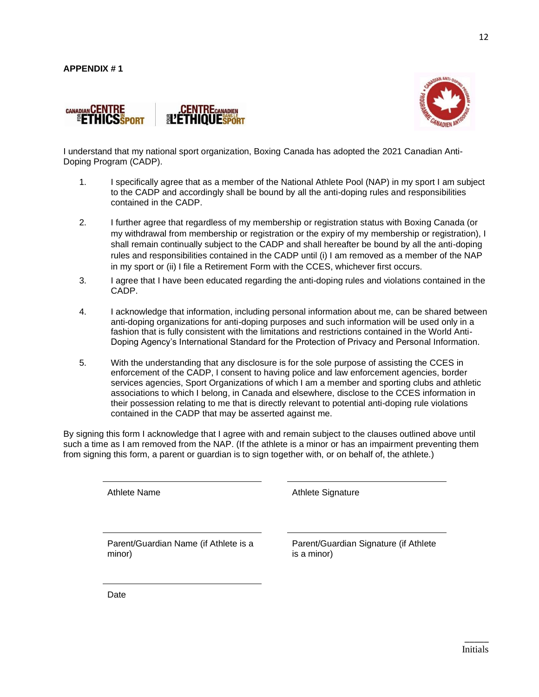



I understand that my national sport organization, Boxing Canada has adopted the 2021 Canadian Anti-Doping Program (CADP).

- 1. I specifically agree that as a member of the National Athlete Pool (NAP) in my sport I am subject to the CADP and accordingly shall be bound by all the anti-doping rules and responsibilities contained in the CADP.
- 2. I further agree that regardless of my membership or registration status with Boxing Canada (or my withdrawal from membership or registration or the expiry of my membership or registration), I shall remain continually subject to the CADP and shall hereafter be bound by all the anti-doping rules and responsibilities contained in the CADP until (i) I am removed as a member of the NAP in my sport or (ii) I file a Retirement Form with the CCES, whichever first occurs.
- 3. I agree that I have been educated regarding the anti-doping rules and violations contained in the CADP.
- 4. I acknowledge that information, including personal information about me, can be shared between anti-doping organizations for anti-doping purposes and such information will be used only in a fashion that is fully consistent with the limitations and restrictions contained in the World Anti-Doping Agency's International Standard for the Protection of Privacy and Personal Information.
- 5. With the understanding that any disclosure is for the sole purpose of assisting the CCES in enforcement of the CADP, I consent to having police and law enforcement agencies, border services agencies, Sport Organizations of which I am a member and sporting clubs and athletic associations to which I belong, in Canada and elsewhere, disclose to the CCES information in their possession relating to me that is directly relevant to potential anti-doping rule violations contained in the CADP that may be asserted against me.

By signing this form I acknowledge that I agree with and remain subject to the clauses outlined above until such a time as I am removed from the NAP. (If the athlete is a minor or has an impairment preventing them from signing this form, a parent or guardian is to sign together with, or on behalf of, the athlete.)

Athlete Name **Athlete** Signature

Parent/Guardian Name (if Athlete is a minor)

Parent/Guardian Signature (if Athlete is a minor)

Date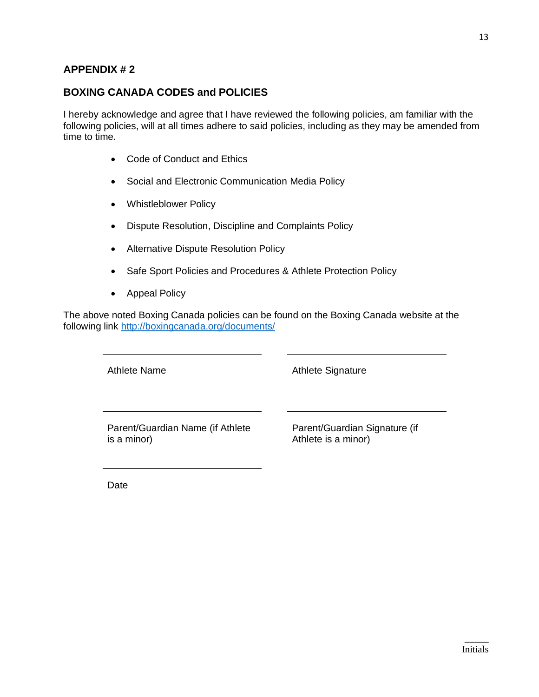# **APPENDIX # 2**

# **BOXING CANADA CODES and POLICIES**

I hereby acknowledge and agree that I have reviewed the following policies, am familiar with the following policies, will at all times adhere to said policies, including as they may be amended from time to time.

- Code of Conduct and Ethics
- Social and Electronic Communication Media Policy
- Whistleblower Policy
- Dispute Resolution, Discipline and Complaints Policy
- Alternative Dispute Resolution Policy
- Safe Sport Policies and Procedures & Athlete Protection Policy
- Appeal Policy

The above noted Boxing Canada policies can be found on the Boxing Canada website at the following link<http://boxingcanada.org/documents/>

Athlete Name **Athlete** Signature

Parent/Guardian Name (if Athlete is a minor)

Parent/Guardian Signature (if Athlete is a minor)

Date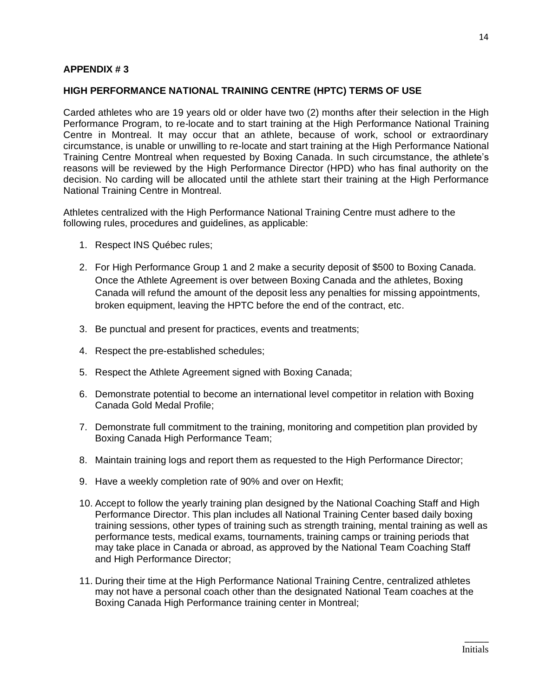# **APPENDIX # 3**

## **HIGH PERFORMANCE NATIONAL TRAINING CENTRE (HPTC) TERMS OF USE**

Carded athletes who are 19 years old or older have two (2) months after their selection in the High Performance Program, to re-locate and to start training at the High Performance National Training Centre in Montreal. It may occur that an athlete, because of work, school or extraordinary circumstance, is unable or unwilling to re-locate and start training at the High Performance National Training Centre Montreal when requested by Boxing Canada. In such circumstance, the athlete's reasons will be reviewed by the High Performance Director (HPD) who has final authority on the decision. No carding will be allocated until the athlete start their training at the High Performance National Training Centre in Montreal.

Athletes centralized with the High Performance National Training Centre must adhere to the following rules, procedures and guidelines, as applicable:

- 1. Respect INS Québec rules;
- 2. For High Performance Group 1 and 2 make a security deposit of \$500 to Boxing Canada. Once the Athlete Agreement is over between Boxing Canada and the athletes, Boxing Canada will refund the amount of the deposit less any penalties for missing appointments, broken equipment, leaving the HPTC before the end of the contract, etc.
- 3. Be punctual and present for practices, events and treatments;
- 4. Respect the pre-established schedules;
- 5. Respect the Athlete Agreement signed with Boxing Canada;
- 6. Demonstrate potential to become an international level competitor in relation with Boxing Canada Gold Medal Profile;
- 7. Demonstrate full commitment to the training, monitoring and competition plan provided by Boxing Canada High Performance Team;
- 8. Maintain training logs and report them as requested to the High Performance Director;
- 9. Have a weekly completion rate of 90% and over on Hexfit;
- 10. Accept to follow the yearly training plan designed by the National Coaching Staff and High Performance Director. This plan includes all National Training Center based daily boxing training sessions, other types of training such as strength training, mental training as well as performance tests, medical exams, tournaments, training camps or training periods that may take place in Canada or abroad, as approved by the National Team Coaching Staff and High Performance Director;
- 11. During their time at the High Performance National Training Centre, centralized athletes may not have a personal coach other than the designated National Team coaches at the Boxing Canada High Performance training center in Montreal;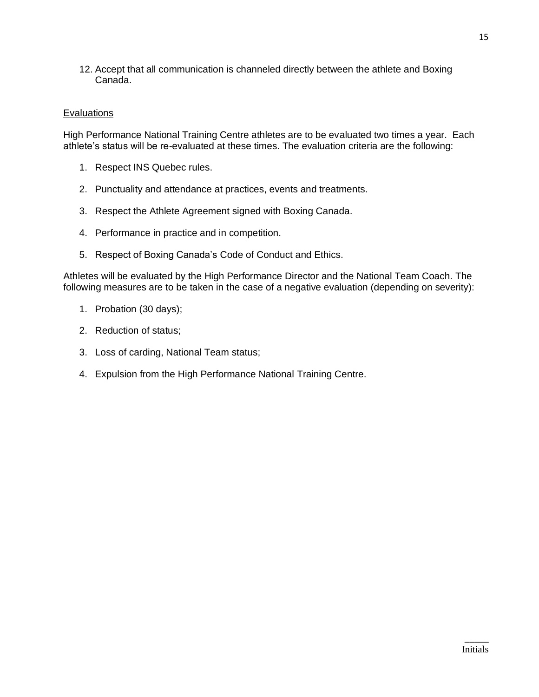12. Accept that all communication is channeled directly between the athlete and Boxing Canada.

# **Evaluations**

High Performance National Training Centre athletes are to be evaluated two times a year. Each athlete's status will be re-evaluated at these times. The evaluation criteria are the following:

- 1. Respect INS Quebec rules.
- 2. Punctuality and attendance at practices, events and treatments.
- 3. Respect the Athlete Agreement signed with Boxing Canada.
- 4. Performance in practice and in competition.
- 5. Respect of Boxing Canada's Code of Conduct and Ethics.

Athletes will be evaluated by the High Performance Director and the National Team Coach. The following measures are to be taken in the case of a negative evaluation (depending on severity):

- 1. Probation (30 days);
- 2. Reduction of status;
- 3. Loss of carding, National Team status;
- 4. Expulsion from the High Performance National Training Centre.